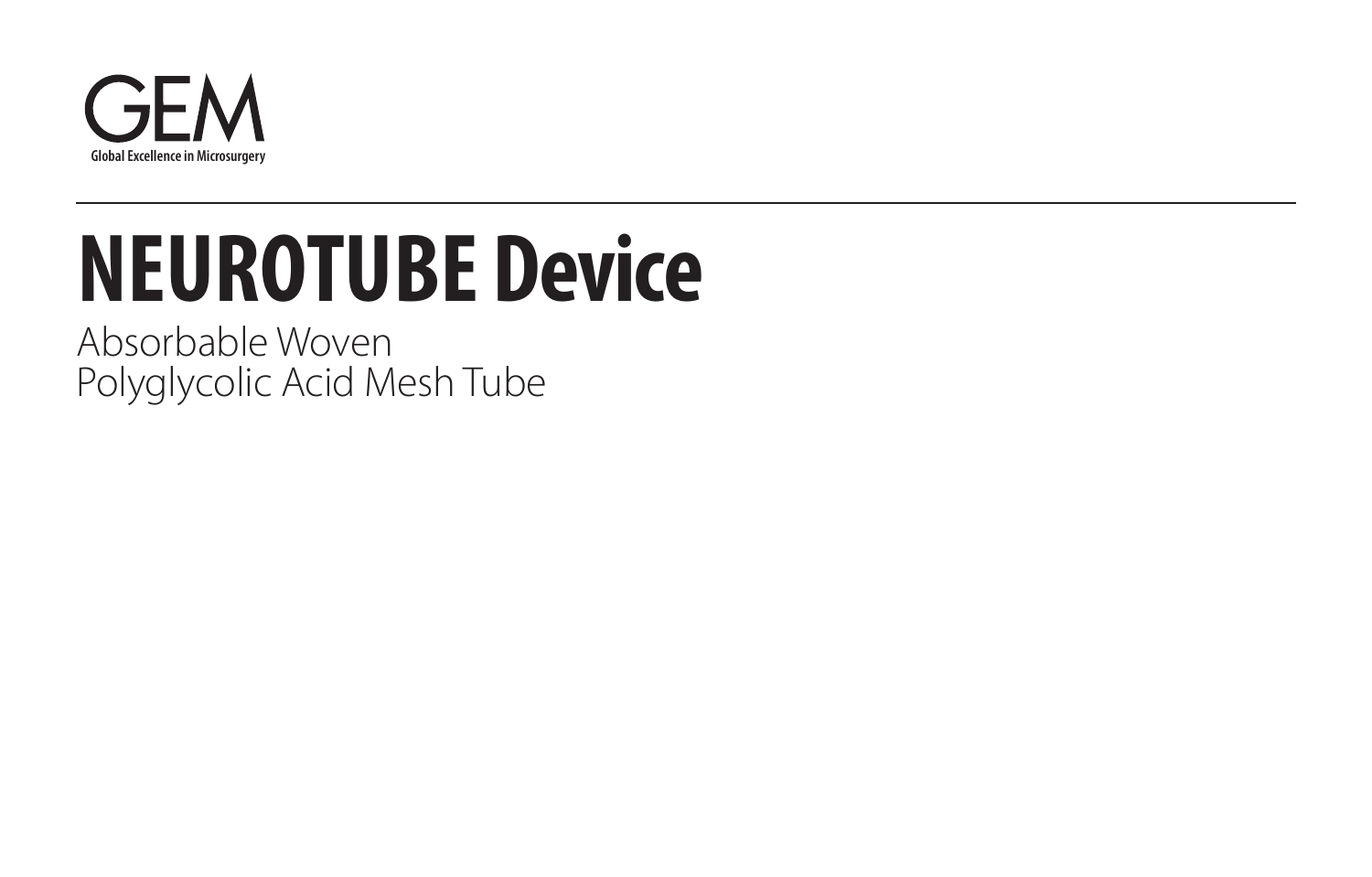

# **NEUROTUBE D evice**

Absorbable Woven Polyglycolic Acid Mesh Tube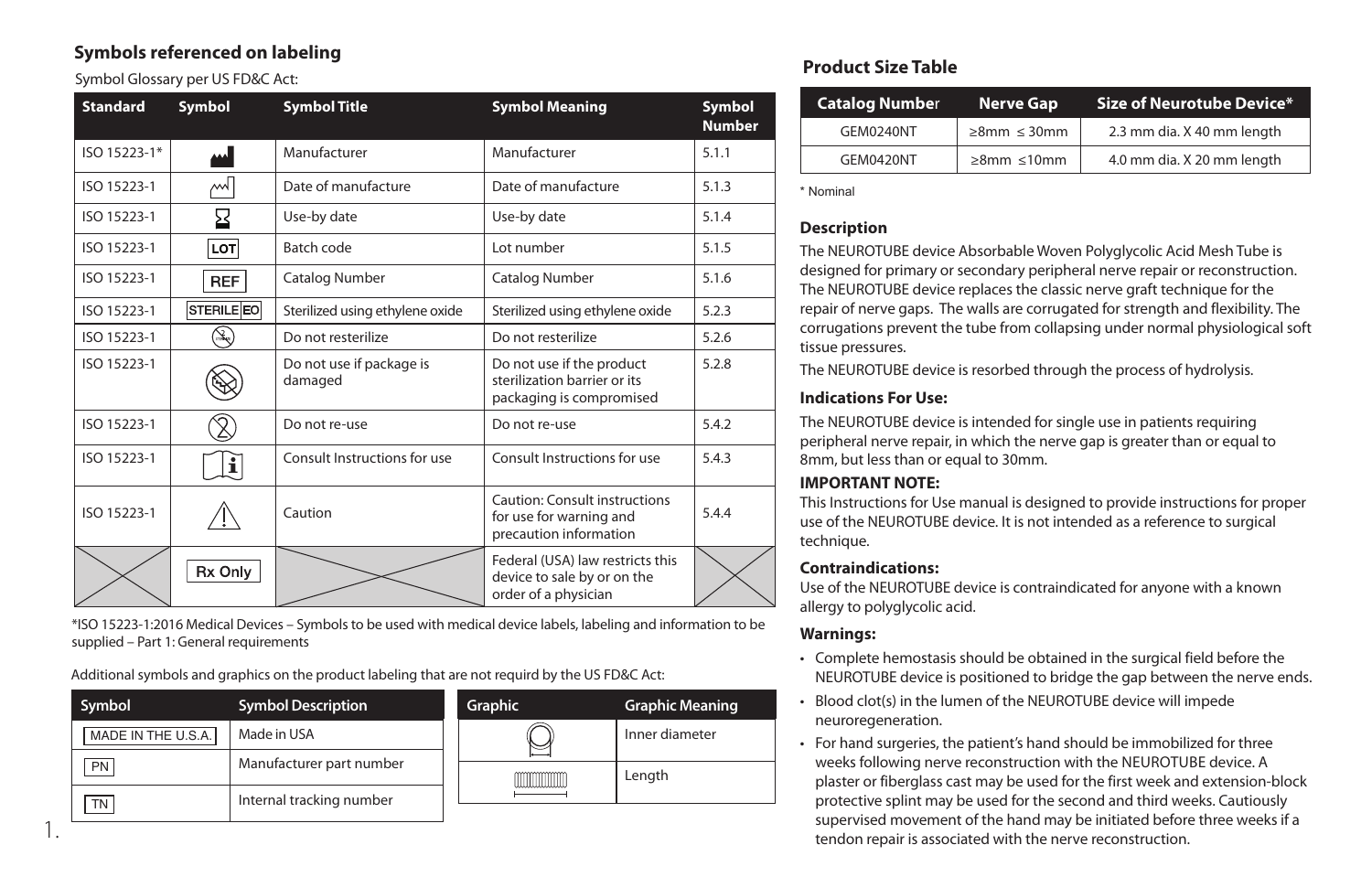## **Symbols referenced on labeling**

Symbol Glossary per US FD&C Act:

1.

| <b>Standard</b> | Symbol         | <b>Symbol Title</b>                                                                                                          | <b>Symbol Meaning</b>                                                                     | Symbol<br><b>Number</b> |
|-----------------|----------------|------------------------------------------------------------------------------------------------------------------------------|-------------------------------------------------------------------------------------------|-------------------------|
| ISO 15223-1*    | الممم          | Manufacturer                                                                                                                 | Manufacturer                                                                              | 5.1.1                   |
| ISO 15223-1     | ∼              | Date of manufacture                                                                                                          | Date of manufacture                                                                       | 5.1.3                   |
| ISO 15223-1     | ⊠              | Use-by date                                                                                                                  | Use-by date                                                                               | 5.1.4                   |
| ISO 15223-1     | LOT            | Batch code                                                                                                                   | Lot number                                                                                | 5.1.5                   |
| ISO 15223-1     | <b>REF</b>     | Catalog Number                                                                                                               | Catalog Number                                                                            | 5.1.6                   |
| ISO 15223-1     | STERILE EO     | Sterilized using ethylene oxide                                                                                              | Sterilized using ethylene oxide                                                           | 5.2.3                   |
| ISO 15223-1     | $\mathbb{R}^2$ | Do not resterilize                                                                                                           | Do not resterilize                                                                        | 5.2.6                   |
| ISO 15223-1     |                | Do not use if package is<br>Do not use if the product<br>sterilization barrier or its<br>damaged<br>packaging is compromised |                                                                                           | 5.2.8                   |
| ISO 15223-1     |                | Do not re-use                                                                                                                | Do not re-use                                                                             | 5.4.2                   |
| ISO 15223-1     | $\mathbf i$    | Consult Instructions for use                                                                                                 | Consult Instructions for use                                                              | 5.4.3                   |
| ISO 15223-1     |                | Caution                                                                                                                      | <b>Caution: Consult instructions</b><br>for use for warning and<br>precaution information | 5.4.4                   |
|                 | Rx Only        |                                                                                                                              | Federal (USA) law restricts this<br>device to sale by or on the<br>order of a physician   |                         |

\*ISO 15223-1:2016 Medical Devices – Symbols to be used with medical device labels, labeling and information to be supplied – Part 1: General requirements

Additional symbols and graphics on the product labeling that are not requird by the US FD&C Act:

| Symbol             | <b>Symbol Description</b> | Graphic | <b>Graphic Meaning</b> |
|--------------------|---------------------------|---------|------------------------|
| MADE IN THE U.S.A. | Made in USA               |         | Inner diameter         |
| PN                 | Manufacturer part number  |         | Length                 |
| <b>TN</b>          | Internal tracking number  |         |                        |

# **Product Size Table**

| <b>Catalog Number</b> | Nerve Gap              | Size of Neurotube Device $^\ast$ |
|-----------------------|------------------------|----------------------------------|
| GEM0240NT             | $\geq$ 8mm $\leq$ 30mm | 2.3 mm dia. X 40 mm length       |
| GEM0420NT             | $\geq$ 8mm $\leq$ 10mm | 4.0 mm dia. X 20 mm length       |

\* Nominal

### **Description**

The NEUROTUBE device Absorbable Woven Polyglycolic Acid Mesh Tube is designed for primary or secondary peripheral nerve repair or reconstruction. The NEUROTUBE device replaces the classic nerve graft technique for the repair of nerve gaps. The walls are corrugated for strength and flexibility. The corrugations prevent the tube from collapsing under normal physiological soft tissue pressures.

The NEUROTUBE device is resorbed through the process of hydrolysis.

#### **Indications For Use:**

The NEUROTUBE device is intended for single use in patients requiring peripheral nerve repair, in which the nerve gap is greater than or equal to 8mm, but less than or equal to 30mm.

## **IMPORTANT NOTE:**

This Instructions for Use manual is designed to provide instructions for proper use of the NEUROTUBE device. It is not intended as a reference to surgical technique.

## **Contraindications:**

Use of the NEUROTUBE device is contraindicated for anyone with a known allergy to polyglycolic acid.

#### **Warnings:**

- Complete hemostasis should be obtained in the surgical field before the NEUROTUBE device is positioned to bridge the gap between the nerve ends.
- Blood clot(s) in the lumen of the NEUROTUBE device will impede neuroregeneration.
- For hand surgeries, the patient's hand should be immobilized for three weeks following nerve reconstruction with the NEUROTUBE device. A plaster or fiberglass cast may be used for the first week and extension-block protective splint may be used for the second and third weeks. Cautiously supervised movement of the hand may be initiated before three weeks if a tendon repair is associated with the nerve reconstruction.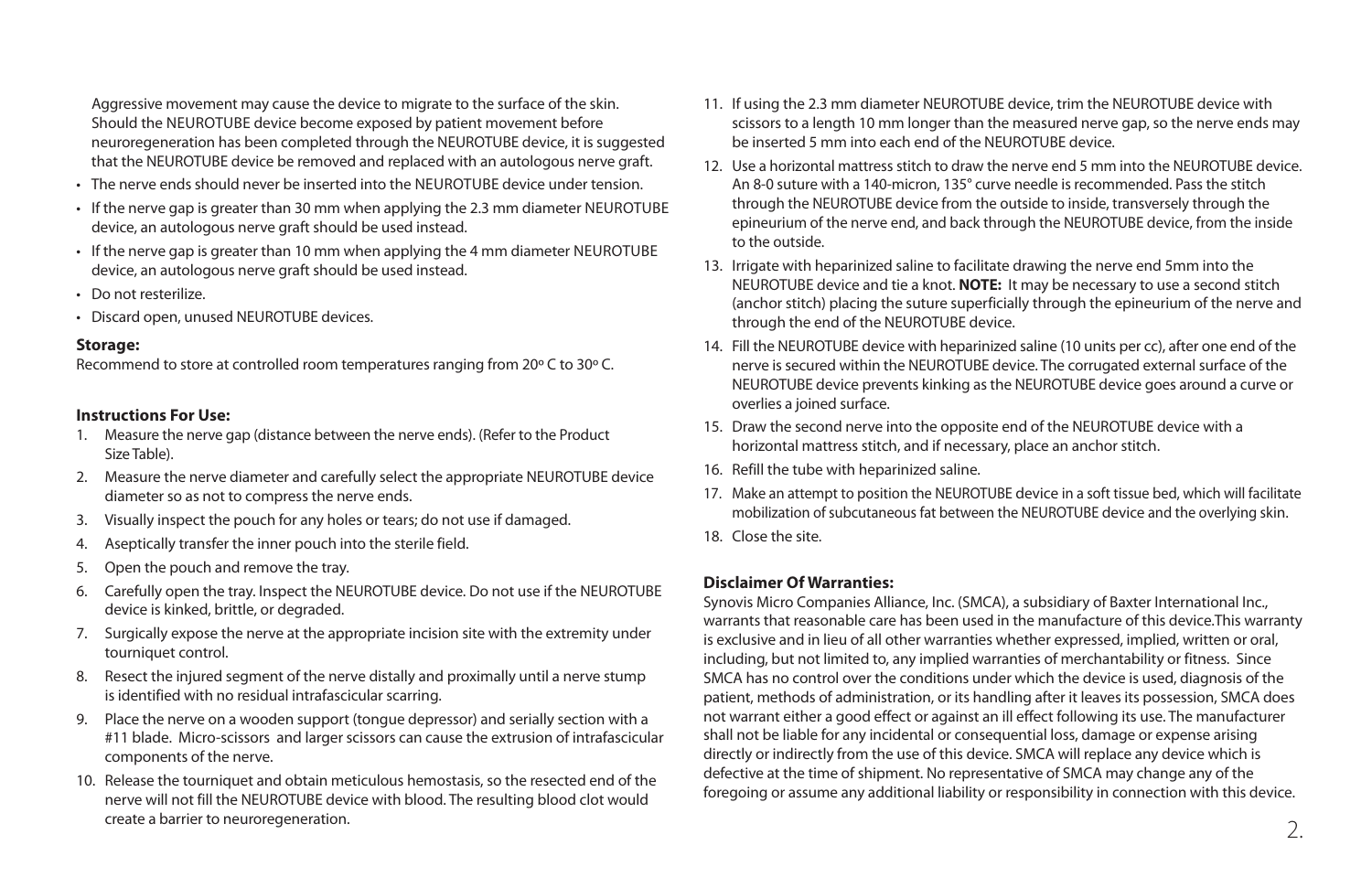Aggressive movement may cause the device to migrate to the surface of the skin. Should the NEUROTUBE device become exposed by patient movement before neuroregeneration has been completed through the NEUROTUBE device, it is suggested that the NEUROTUBE device be removed and replaced with an autologous nerve graft.

- The nerve ends should never be inserted into the NEUROTUBE device under tension.
- If the nerve gap is greater than 30 mm when applying the 2.3 mm diameter NEUROTUBE device, an autologous nerve graft should be used instead.
- If the nerve gap is greater than 10 mm when applying the 4 mm diameter NEUROTUBE device, an autologous nerve graft should be used instead.
- Do not resterilize.
- Discard open, unused NEUROTUBE devices.

#### **Storage:**

Recommend to store at controlled room temperatures ranging from 20º C to 30º C.

#### **Instructions For Use:**

- 1. Measure the nerve gap (distance between the nerve ends). (Refer to the Product Size Table).
- 2. Measure the nerve diameter and carefully select the appropriate NEUROTUBE device diameter so as not to compress the nerve ends.
- 3. Visually inspect the pouch for any holes or tears; do not use if damaged.
- 4. Aseptically transfer the inner pouch into the sterile field.
- 5. Open the pouch and remove the tray.
- 6. Carefully open the tray. Inspect the NEUROTUBE device. Do not use if the NEUROTUBE device is kinked, brittle, or degraded.
- 7. Surgically expose the nerve at the appropriate incision site with the extremity under tourniquet control.
- 8. Resect the injured segment of the nerve distally and proximally until a nerve stump is identified with no residual intrafascicular scarring.
- 9. Place the nerve on a wooden support (tongue depressor) and serially section with a #11 blade. Micro-scissors and larger scissors can cause the extrusion of intrafascicular components of the nerve.
- 10. Release the tourniquet and obtain meticulous hemostasis, so the resected end of the nerve will not fill the NEUROTUBE device with blood. The resulting blood clot would create a barrier to neuroregeneration.
- 11. If using the 2.3 mm diameter NEUROTUBE device, trim the NEUROTUBE device with scissors to a length 10 mm longer than the measured nerve gap, so the nerve ends may be inserted 5 mm into each end of the NEUROTUBE device.
- 12. Use a horizontal mattress stitch to draw the nerve end 5 mm into the NEUROTUBE device. An 8-0 suture with a 140-micron, 135° curve needle is recommended. Pass the stitch through the NEUROTUBE device from the outside to inside, transversely through the epineurium of the nerve end, and back through the NEUROTUBE device, from the inside to the outside.
- 13. Irrigate with heparinized saline to facilitate drawing the nerve end 5mm into the NEUROTUBE device and tie a knot. **NOTE:** It may be necessary to use a second stitch (anchor stitch) placing the suture superficially through the epineurium of the nerve and through the end of the NEUROTUBE device.
- 14. Fill the NEUROTUBE device with heparinized saline (10 units per cc), after one end of the nerve is secured within the NEUROTUBE device. The corrugated external surface of the NEUROTUBE device prevents kinking as the NEUROTUBE device goes around a curve or overlies a joined surface.
- 15. Draw the second nerve into the opposite end of the NEUROTUBE device with a horizontal mattress stitch, and if necessary, place an anchor stitch.
- 16. Refill the tube with heparinized saline.
- 17. Make an attempt to position the NEUROTUBE device in a soft tissue bed, which will facilitate mobilization of subcutaneous fat between the NEUROTUBE device and the overlying skin.
- 18. Close the site.

#### **Disclaimer Of Warranties:**

Synovis Micro Companies Alliance, Inc. (SMCA), a subsidiary of Baxter International Inc., warrants that reasonable care has been used in the manufacture of this device.This warranty is exclusive and in lieu of all other warranties whether expressed, implied, written or oral, including, but not limited to, any implied warranties of merchantability or fitness. Since SMCA has no control over the conditions under which the device is used, diagnosis of the patient, methods of administration, or its handling after it leaves its possession, SMCA does not warrant either a good effect or against an ill effect following its use. The manufacturer shall not be liable for any incidental or consequential loss, damage or expense arising directly or indirectly from the use of this device. SMCA will replace any device which is defective at the time of shipment. No representative of SMCA may change any of the foregoing or assume any additional liability or responsibility in connection with this device.